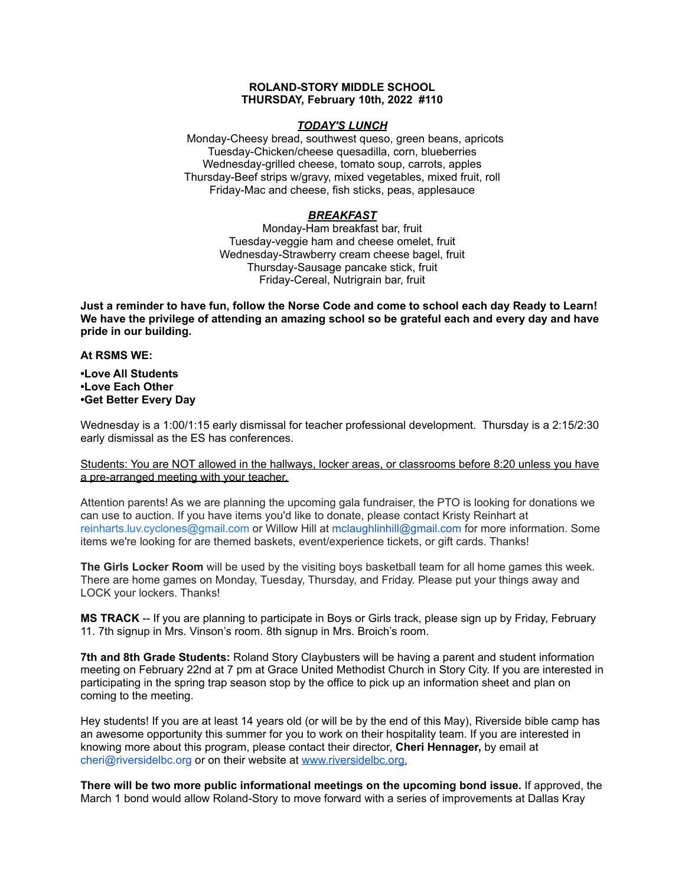## **ROLAND-STORY MIDDLE SCHOOL THURSDAY, February 10th, 2022 #110**

#### *TODAY'S LUNCH*

Monday-Cheesy bread, southwest queso, green beans, apricots Tuesday-Chicken/cheese quesadilla, corn, blueberries Wednesday-grilled cheese, tomato soup, carrots, apples Thursday-Beef strips w/gravy, mixed vegetables, mixed fruit, roll Friday-Mac and cheese, fish sticks, peas, applesauce

## *BREAKFAST*

Monday-Ham breakfast bar, fruit Tuesday-veggie ham and cheese omelet, fruit Wednesday-Strawberry cream cheese bagel, fruit Thursday-Sausage pancake stick, fruit Friday-Cereal, Nutrigrain bar, fruit

Just a reminder to have fun, follow the Norse Code and come to school each day Ready to Learn! **We have the privilege of attending an amazing school so be grateful each and every day and have pride in our building.**

#### **At RSMS WE:**

## **•Love All Students •Love Each Other •Get Better Every Day**

Wednesday is a 1:00/1:15 early dismissal for teacher professional development. Thursday is a 2:15/2:30 early dismissal as the ES has conferences.

Students: You are NOT allowed in the hallways, locker areas, or classrooms before 8:20 unless you have a pre-arranged meeting with your teacher.

Attention parents! As we are planning the upcoming gala fundraiser, the PTO is looking for donations we can use to auction. If you have items you'd like to donate, please contact Kristy Reinhart at reinharts.luv.cyclones@gmail.com or Willow Hill at mclaughlinhill@gmail.com for more information. Some items we're looking for are themed baskets, event/experience tickets, or gift cards. Thanks!

**The Girls Locker Room** will be used by the visiting boys basketball team for all home games this week. There are home games on Monday, Tuesday, Thursday, and Friday. Please put your things away and LOCK your lockers. Thanks!

**MS TRACK** -- If you are planning to participate in Boys or Girls track, please sign up by Friday, February 11. 7th signup in Mrs. Vinson's room. 8th signup in Mrs. Broich's room.

**7th and 8th Grade Students:** Roland Story Claybusters will be having a parent and student information meeting on February 22nd at 7 pm at Grace United Methodist Church in Story City. If you are interested in participating in the spring trap season stop by the office to pick up an information sheet and plan on coming to the meeting.

Hey students! If you are at least 14 years old (or will be by the end of this May), Riverside bible camp has an awesome opportunity this summer for you to work on their hospitality team. If you are interested in knowing more about this program, please contact their director, **Cheri Hennager,** by email at cheri@riversidelbc.org or on their website at [www.riversidelbc.org.](http://www.riversidelbc.org/)

**There will be two more public informational meetings on the upcoming bond issue.** If approved, the March 1 bond would allow Roland-Story to move forward with a series of improvements at Dallas Kray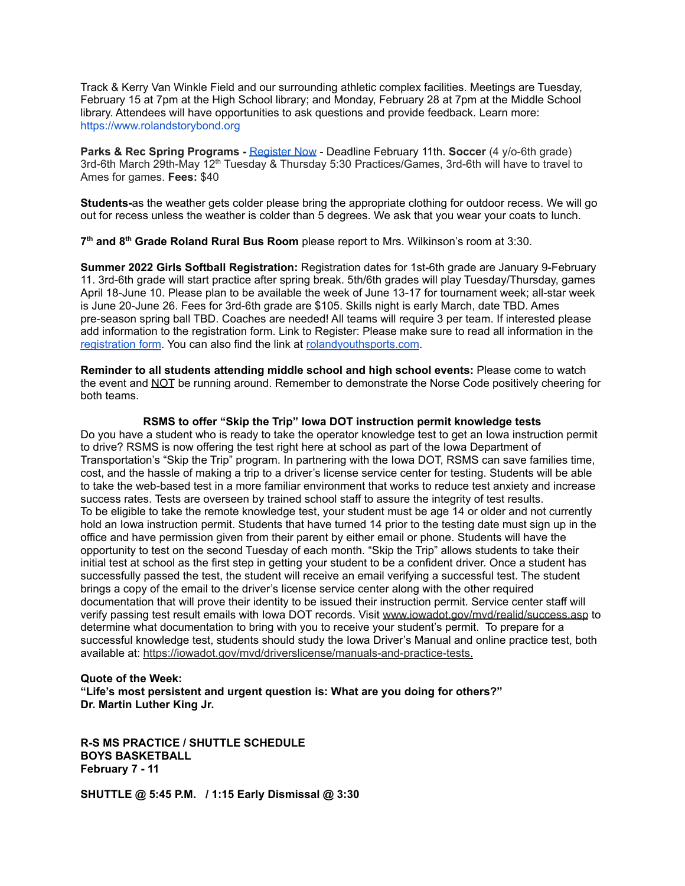Track & Kerry Van Winkle Field and our surrounding athletic complex facilities. Meetings are Tuesday, February 15 at 7pm at the High School library; and Monday, February 28 at 7pm at the Middle School library. Attendees will have opportunities to ask questions and provide feedback. Learn more: [https://www.rolandstorybond.org](https://www.rolandstorybond.org/?fbclid=IwAR3AJHhy8S8KvQsof-Z44UTrIBXDkOZFSdMyUXMovrg0bH3FkvkTprNkFuM)

**Parks & Rec Spring Programs -** [Register](https://apm.activecommunities.com/cityofstorycity/Activity_Search) Now - Deadline February 11th. **Soccer** (4 y/o-6th grade) 3rd-6th March 29th-May 12<sup>th</sup> Tuesday & Thursday 5:30 Practices/Games, 3rd-6th will have to travel to Ames for games. **Fees:** \$40

**Students-**as the weather gets colder please bring the appropriate clothing for outdoor recess. We will go out for recess unless the weather is colder than 5 degrees. We ask that you wear your coats to lunch.

**7 th and 8 th Grade Roland Rural Bus Room** please report to Mrs. Wilkinson's room at 3:30.

**Summer 2022 Girls Softball Registration:** Registration dates for 1st-6th grade are January 9-February 11. 3rd-6th grade will start practice after spring break. 5th/6th grades will play Tuesday/Thursday, games April 18-June 10. Please plan to be available the week of June 13-17 for tournament week; all-star week is June 20-June 26. Fees for 3rd-6th grade are \$105. Skills night is early March, date TBD. Ames pre-season spring ball TBD. Coaches are needed! All teams will require 3 per team. If interested please add information to the registration form. Link to Register: Please make sure to read all information in th[e](https://rolandyouthsports.com/summer-2022-softball-registration-form/) [registration](https://rolandyouthsports.com/summer-2022-softball-registration-form/) form. You can also find the link at [rolandyouthsports.com](http://rolandyouthsports.com/).

**Reminder to all students attending middle school and high school events:** Please come to watch the event and NOT be running around. Remember to demonstrate the Norse Code positively cheering for both teams.

#### **RSMS to offer "Skip the Trip" Iowa DOT instruction permit knowledge tests**

Do you have a student who is ready to take the operator knowledge test to get an Iowa instruction permit to drive? RSMS is now offering the test right here at school as part of the Iowa Department of Transportation's "Skip the Trip" program. In partnering with the Iowa DOT, RSMS can save families time, cost, and the hassle of making a trip to a driver's license service center for testing. Students will be able to take the web-based test in a more familiar environment that works to reduce test anxiety and increase success rates. Tests are overseen by trained school staff to assure the integrity of test results. To be eligible to take the remote knowledge test, your student must be age 14 or older and not currently hold an Iowa instruction permit. Students that have turned 14 prior to the testing date must sign up in the office and have permission given from their parent by either email or phone. Students will have the opportunity to test on the second Tuesday of each month. "Skip the Trip" allows students to take their initial test at school as the first step in getting your student to be a confident driver. Once a student has successfully passed the test, the student will receive an email verifying a successful test. The student brings a copy of the email to the driver's license service center along with the other required documentation that will prove their identity to be issued their instruction permit. Service center staff will verify passing test result emails with Iowa DOT records. Visit [www.iowadot.gov/mvd/realid/success.asp](http://www.iowadot.gov/mvd/realid/success.asp) to determine what documentation to bring with you to receive your student's permit. To prepare for a successful knowledge test, students should study the Iowa Driver's Manual and online practice test, both available at: <https://iowadot.gov/mvd/driverslicense/manuals-and-practice-tests>.

#### **Quote of the Week:**

**"Life's most persistent and urgent question is: What are you doing for others?" Dr. Martin Luther King Jr.**

**R-S MS PRACTICE / SHUTTLE SCHEDULE BOYS BASKETBALL February 7 - 11**

**SHUTTLE @ 5:45 P.M. / 1:15 Early Dismissal @ 3:30**